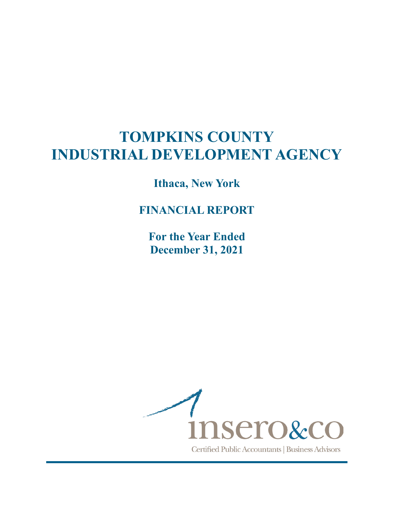**Ithaca, New York**

**FINANCIAL REPORT**

**For the Year Ended December 31, 2021** 

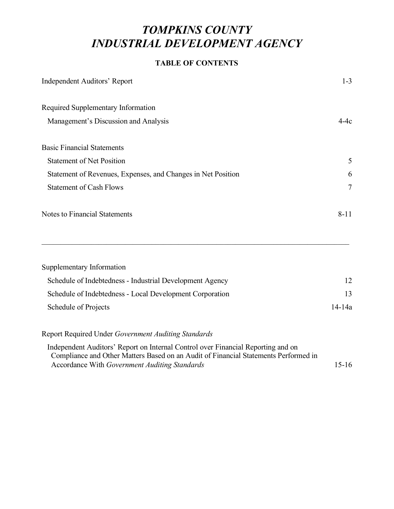## **TABLE OF CONTENTS**

| <b>Independent Auditors' Report</b>                                              |          |  |  |  |  |  |  |  |
|----------------------------------------------------------------------------------|----------|--|--|--|--|--|--|--|
| Required Supplementary Information                                               |          |  |  |  |  |  |  |  |
| Management's Discussion and Analysis                                             | $4-4c$   |  |  |  |  |  |  |  |
| <b>Basic Financial Statements</b>                                                |          |  |  |  |  |  |  |  |
| <b>Statement of Net Position</b>                                                 | 5        |  |  |  |  |  |  |  |
| Statement of Revenues, Expenses, and Changes in Net Position                     | 6        |  |  |  |  |  |  |  |
| <b>Statement of Cash Flows</b>                                                   | $\tau$   |  |  |  |  |  |  |  |
| <b>Notes to Financial Statements</b>                                             | $8 - 11$ |  |  |  |  |  |  |  |
| Supplementary Information                                                        |          |  |  |  |  |  |  |  |
| Schedule of Indebtedness - Industrial Development Agency                         | 12       |  |  |  |  |  |  |  |
| Schedule of Indebtedness - Local Development Corporation                         | 13       |  |  |  |  |  |  |  |
| Schedule of Projects                                                             | 14-14a   |  |  |  |  |  |  |  |
| Report Required Under Government Auditing Standards                              |          |  |  |  |  |  |  |  |
| Independent Auditors' Report on Internal Control over Financial Reporting and on |          |  |  |  |  |  |  |  |

 Compliance and Other Matters Based on an Audit of Financial Statements Performed in Accordance With *Government Auditing Standards* 15-16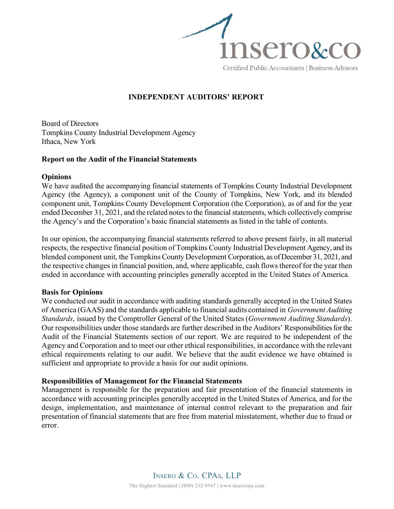

### **INDEPENDENT AUDITORS' REPORT**

Board of Directors Tompkins County Industrial Development Agency Ithaca, New York

#### **Report on the Audit of the Financial Statements**

#### **Opinions**

We have audited the accompanying financial statements of Tompkins County Industrial Development Agency (the Agency), a component unit of the County of Tompkins, New York, and its blended component unit, Tompkins County Development Corporation (the Corporation), as of and for the year ended December 31, 2021, and the related notes to the financial statements, which collectively comprise the Agency's and the Corporation's basic financial statements as listed in the table of contents.

In our opinion, the accompanying financial statements referred to above present fairly, in all material respects, the respective financial position of Tompkins County Industrial Development Agency, and its blended component unit, the Tompkins County Development Corporation, as of December 31, 2021, and the respective changes in financial position, and, where applicable, cash flows thereof for the year then ended in accordance with accounting principles generally accepted in the United States of America.

#### **Basis for Opinions**

We conducted our audit in accordance with auditing standards generally accepted in the United States of America (GAAS) and the standards applicable to financial audits contained in *Government Auditing Standards*, issued by the Comptroller General of the United States (*Government Auditing Standards*). Our responsibilities under those standards are further described in the Auditors' Responsibilities for the Audit of the Financial Statements section of our report. We are required to be independent of the Agency and Corporation and to meet our other ethical responsibilities, in accordance with the relevant ethical requirements relating to our audit. We believe that the audit evidence we have obtained is sufficient and appropriate to provide a basis for our audit opinions.

#### **Responsibilities of Management for the Financial Statements**

Management is responsible for the preparation and fair presentation of the financial statements in accordance with accounting principles generally accepted in the United States of America, and for the design, implementation, and maintenance of internal control relevant to the preparation and fair presentation of financial statements that are free from material misstatement, whether due to fraud or error.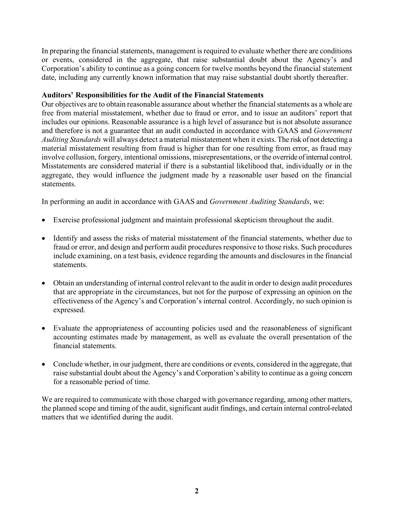In preparing the financial statements, management is required to evaluate whether there are conditions or events, considered in the aggregate, that raise substantial doubt about the Agency's and Corporation's ability to continue as a going concern for twelve months beyond the financial statement date, including any currently known information that may raise substantial doubt shortly thereafter.

#### **Auditors' Responsibilities for the Audit of the Financial Statements**

Our objectives are to obtain reasonable assurance about whether the financial statements as a whole are free from material misstatement, whether due to fraud or error, and to issue an auditors' report that includes our opinions. Reasonable assurance is a high level of assurance but is not absolute assurance and therefore is not a guarantee that an audit conducted in accordance with GAAS and *Government Auditing Standards* will always detect a material misstatement when it exists. The risk of not detecting a material misstatement resulting from fraud is higher than for one resulting from error, as fraud may involve collusion, forgery, intentional omissions, misrepresentations, or the override of internal control. Misstatements are considered material if there is a substantial likelihood that, individually or in the aggregate, they would influence the judgment made by a reasonable user based on the financial statements.

In performing an audit in accordance with GAAS and *Government Auditing Standards*, we:

- Exercise professional judgment and maintain professional skepticism throughout the audit.
- Identify and assess the risks of material misstatement of the financial statements, whether due to fraud or error, and design and perform audit procedures responsive to those risks. Such procedures include examining, on a test basis, evidence regarding the amounts and disclosures in the financial statements.
- Obtain an understanding of internal control relevant to the audit in order to design audit procedures that are appropriate in the circumstances, but not for the purpose of expressing an opinion on the effectiveness of the Agency's and Corporation's internal control. Accordingly, no such opinion is expressed.
- Evaluate the appropriateness of accounting policies used and the reasonableness of significant accounting estimates made by management, as well as evaluate the overall presentation of the financial statements.
- Conclude whether, in our judgment, there are conditions or events, considered in the aggregate, that raise substantial doubt about the Agency's and Corporation's ability to continue as a going concern for a reasonable period of time.

We are required to communicate with those charged with governance regarding, among other matters, the planned scope and timing of the audit, significant audit findings, and certain internal control-related matters that we identified during the audit.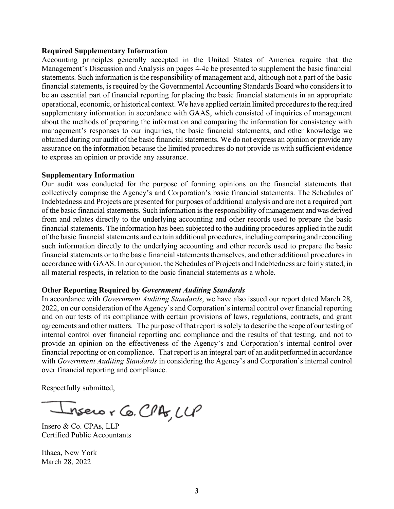#### **Required Supplementary Information**

Accounting principles generally accepted in the United States of America require that the Management's Discussion and Analysis on pages 4-4c be presented to supplement the basic financial statements. Such information is the responsibility of management and, although not a part of the basic financial statements, is required by the Governmental Accounting Standards Board who considers it to be an essential part of financial reporting for placing the basic financial statements in an appropriate operational, economic, or historical context. We have applied certain limited procedures to the required supplementary information in accordance with GAAS, which consisted of inquiries of management about the methods of preparing the information and comparing the information for consistency with management's responses to our inquiries, the basic financial statements, and other knowledge we obtained during our audit of the basic financial statements. We do not express an opinion or provide any assurance on the information because the limited procedures do not provide us with sufficient evidence to express an opinion or provide any assurance.

#### **Supplementary Information**

Our audit was conducted for the purpose of forming opinions on the financial statements that collectively comprise the Agency's and Corporation's basic financial statements. The Schedules of Indebtedness and Projects are presented for purposes of additional analysis and are not a required part of the basic financial statements. Such information is the responsibility of management and was derived from and relates directly to the underlying accounting and other records used to prepare the basic financial statements. The information has been subjected to the auditing procedures applied in the audit of the basic financial statements and certain additional procedures, including comparing and reconciling such information directly to the underlying accounting and other records used to prepare the basic financial statements or to the basic financial statements themselves, and other additional procedures in accordance with GAAS. In our opinion, the Schedules of Projects and Indebtedness are fairly stated, in all material respects, in relation to the basic financial statements as a whole.

#### **Other Reporting Required by** *Government Auditing Standards*

In accordance with *Government Auditing Standards*, we have also issued our report dated March 28, 2022, on our consideration of the Agency's and Corporation'sinternal control over financial reporting and on our tests of its compliance with certain provisions of laws, regulations, contracts, and grant agreements and other matters. The purpose of that report is solely to describe the scope of our testing of internal control over financial reporting and compliance and the results of that testing, and not to provide an opinion on the effectiveness of the Agency's and Corporation's internal control over financial reporting or on compliance. That report is an integral part of an audit performed in accordance with *Government Auditing Standards* in considering the Agency's and Corporation's internal control over financial reporting and compliance.

Respectfully submitted,

nsero r Co. CPA, LLP

Insero & Co. CPAs, LLP Certified Public Accountants

Ithaca, New York March 28, 2022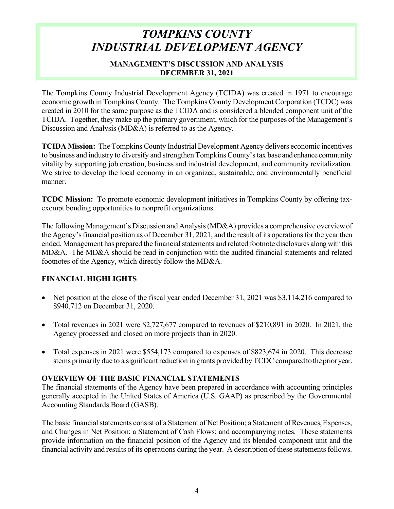### **MANAGEMENT'S DISCUSSION AND ANALYSIS DECEMBER 31, 2021**

The Tompkins County Industrial Development Agency (TCIDA) was created in 1971 to encourage economic growth in Tompkins County. The Tompkins County Development Corporation (TCDC) was created in 2010 for the same purpose as the TCIDA and is considered a blended component unit of the TCIDA. Together, they make up the primary government, which for the purposes of the Management's Discussion and Analysis (MD&A) is referred to as the Agency.

**TCIDA Mission:** The Tompkins County Industrial Development Agency delivers economic incentives to business and industry to diversify and strengthen Tompkins County's tax base and enhance community vitality by supporting job creation, business and industrial development, and community revitalization. We strive to develop the local economy in an organized, sustainable, and environmentally beneficial manner.

**TCDC Mission:** To promote economic development initiatives in Tompkins County by offering taxexempt bonding opportunities to nonprofit organizations.

The following Management's Discussion and Analysis (MD&A) provides a comprehensive overview of the Agency's financial position as of December 31, 2021, and the result of its operations for the year then ended. Management has prepared the financial statements and related footnote disclosures along with this MD&A. The MD&A should be read in conjunction with the audited financial statements and related footnotes of the Agency, which directly follow the MD&A.

## **FINANCIAL HIGHLIGHTS**

- Net position at the close of the fiscal year ended December 31, 2021 was \$3,114,216 compared to \$940,712 on December 31, 2020.
- Total revenues in 2021 were \$2,727,677 compared to revenues of \$210,891 in 2020. In 2021, the Agency processed and closed on more projects than in 2020.
- Total expenses in 2021 were \$554,173 compared to expenses of \$823,674 in 2020. This decrease stems primarily due to a significant reduction in grants provided by TCDC compared to the prior year.

## **OVERVIEW OF THE BASIC FINANCIAL STATEMENTS**

The financial statements of the Agency have been prepared in accordance with accounting principles generally accepted in the United States of America (U.S. GAAP) as prescribed by the Governmental Accounting Standards Board (GASB).

The basic financial statements consist of a Statement of Net Position; a Statement of Revenues, Expenses, and Changes in Net Position; a Statement of Cash Flows; and accompanying notes. These statements provide information on the financial position of the Agency and its blended component unit and the financial activity and results of its operations during the year. A description of these statements follows.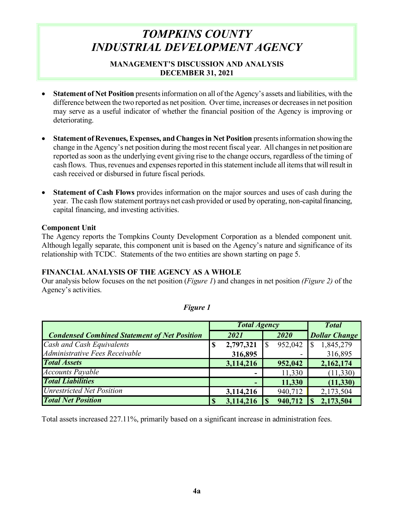### **MANAGEMENT'S DISCUSSION AND ANALYSIS DECEMBER 31, 2021**

- **Statement of Net Position** presents information on all of the Agency's assets and liabilities, with the difference between the two reported as net position. Over time, increases or decreases in net position may serve as a useful indicator of whether the financial position of the Agency is improving or deteriorating.
- **Statement of Revenues, Expenses, and Changes in Net Position** presents information showing the change in the Agency's net position during the most recent fiscal year. All changes in net position are reported as soon as the underlying event giving rise to the change occurs, regardless of the timing of cash flows. Thus, revenues and expenses reported in this statement include all items that will result in cash received or disbursed in future fiscal periods.
- Statement of Cash Flows provides information on the major sources and uses of cash during the year. The cash flow statement portrays net cash provided or used by operating, non-capital financing, capital financing, and investing activities.

#### **Component Unit**

The Agency reports the Tompkins County Development Corporation as a blended component unit. Although legally separate, this component unit is based on the Agency's nature and significance of its relationship with TCDC. Statements of the two entities are shown starting on page 5.

### **FINANCIAL ANALYSIS OF THE AGENCY AS A WHOLE**

Our analysis below focuses on the net position (*Figure 1*) and changes in net position *(Figure 2)* of the Agency's activities.

|                                                     |                           | <b>Total Agency</b> |      |         |                      | <b>Total</b> |
|-----------------------------------------------------|---------------------------|---------------------|------|---------|----------------------|--------------|
| <b>Condensed Combined Statement of Net Position</b> |                           | 2021                | 2020 |         | <b>Dollar Change</b> |              |
| Cash and Cash Equivalents                           | $\boldsymbol{\mathsf{s}}$ | 2,797,321           |      | 952,042 | <sup>\$</sup>        | 1,845,279    |
| Administrative Fees Receivable                      |                           | 316,895             |      |         |                      | 316,895      |
| <b>Total Assets</b>                                 |                           | 3,114,216           |      | 952,042 |                      | 2,162,174    |
| <b>Accounts Payable</b>                             |                           | -                   |      | 11,330  |                      | (11, 330)    |
| <b>Total Liabilities</b>                            |                           | ۰                   |      | 11,330  |                      | (11, 330)    |
| <b>Unrestricted Net Position</b>                    |                           | 3,114,216           |      | 940,712 |                      | 2,173,504    |
| <b>Total Net Position</b>                           |                           | 3,114,216           |      | 940,712 |                      | 2,173,504    |

#### *Figure 1*

Total assets increased 227.11%, primarily based on a significant increase in administration fees.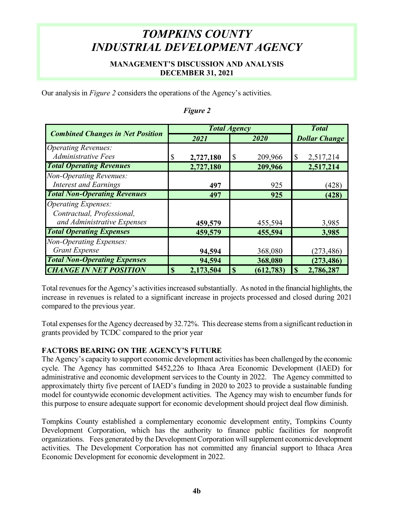#### **MANAGEMENT'S DISCUSSION AND ANALYSIS DECEMBER 31, 2021**

Our analysis in *Figure 2* considers the operations of the Agency's activities.

|                                         | <b>Total Agency</b>      | <b>Total</b>                          |                       |  |
|-----------------------------------------|--------------------------|---------------------------------------|-----------------------|--|
| <b>Combined Changes in Net Position</b> | 2021                     | 2020                                  | <b>Dollar Change</b>  |  |
| <b>Operating Revenues:</b>              |                          |                                       |                       |  |
| <b>Administrative Fees</b>              | \$<br>2,727,180          | $\boldsymbol{\mathcal{S}}$<br>209,966 | \$<br>2,517,214       |  |
| <b>Total Operating Revenues</b>         | 2,727,180                | 209,966                               | 2,517,214             |  |
| <b>Non-Operating Revenues:</b>          |                          |                                       |                       |  |
| <b>Interest and Earnings</b>            | 497                      | 925                                   | (428)                 |  |
| <b>Total Non-Operating Revenues</b>     | 497                      | 925                                   | (428)                 |  |
| <b>Operating Expenses:</b>              |                          |                                       |                       |  |
| Contractual, Professional,              |                          |                                       |                       |  |
| and Administrative Expenses             | 459,579                  | 455,594                               | 3,985                 |  |
| <b>Total Operating Expenses</b>         | 459,579                  | 455,594                               | 3,985                 |  |
| Non-Operating Expenses:                 |                          |                                       |                       |  |
| <b>Grant Expense</b>                    | 94,594                   | 368,080                               | (273, 486)            |  |
| <b>Total Non-Operating Expenses</b>     | 94,594                   | 368,080                               | (273, 486)            |  |
| <b>CHANGE IN NET POSITION</b>           | $\mathbf S$<br>2,173,504 | $\mathbf S$<br>(612, 783)             | 2,786,287<br><b>S</b> |  |

### *Figure 2*

Total revenues for the Agency's activities increased substantially. As noted in the financial highlights, the increase in revenues is related to a significant increase in projects processed and closed during 2021 compared to the previous year.

Total expenses for the Agency decreased by 32.72%. This decrease stems from a significant reduction in grants provided by TCDC compared to the prior year

### **FACTORS BEARING ON THE AGENCY'S FUTURE**

The Agency's capacity to support economic development activities has been challenged by the economic cycle. The Agency has committed \$452,226 to Ithaca Area Economic Development (IAED) for administrative and economic development services to the County in 2022. The Agency committed to approximately thirty five percent of IAED's funding in 2020 to 2023 to provide a sustainable funding model for countywide economic development activities. The Agency may wish to encumber funds for this purpose to ensure adequate support for economic development should project deal flow diminish.

Tompkins County established a complementary economic development entity, Tompkins County Development Corporation, which has the authority to finance public facilities for nonprofit organizations. Fees generated by the Development Corporation will supplement economic development activities. The Development Corporation has not committed any financial support to Ithaca Area Economic Development for economic development in 2022.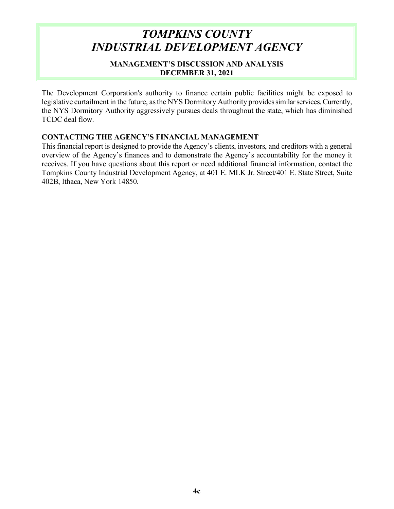### **MANAGEMENT'S DISCUSSION AND ANALYSIS DECEMBER 31, 2021**

The Development Corporation's authority to finance certain public facilities might be exposed to legislative curtailment in the future, as the NYS Dormitory Authority provides similar services. Currently, the NYS Dormitory Authority aggressively pursues deals throughout the state, which has diminished TCDC deal flow.

#### **CONTACTING THE AGENCY'S FINANCIAL MANAGEMENT**

This financial report is designed to provide the Agency's clients, investors, and creditors with a general overview of the Agency's finances and to demonstrate the Agency's accountability for the money it receives. If you have questions about this report or need additional financial information, contact the Tompkins County Industrial Development Agency, at 401 E. MLK Jr. Street/401 E. State Street, Suite 402B, Ithaca, New York 14850.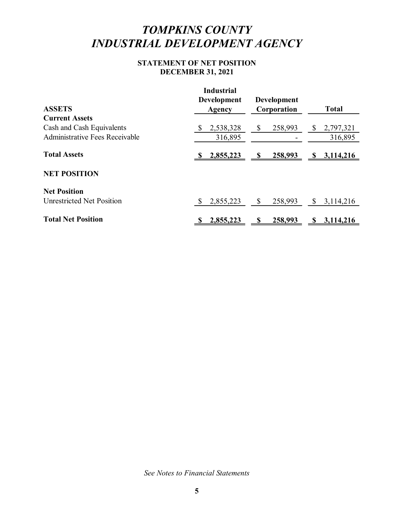## **STATEMENT OF NET POSITION DECEMBER 31, 2021**

| <b>ASSETS</b>                    | <b>Industrial</b><br><b>Development</b><br>Agency | Development<br>Corporation           | <b>Total</b>    |  |
|----------------------------------|---------------------------------------------------|--------------------------------------|-----------------|--|
| <b>Current Assets</b>            |                                                   |                                      |                 |  |
| Cash and Cash Equivalents        | 2,538,328<br>S                                    | 258,993<br>\$                        | 2,797,321<br>S  |  |
| Administrative Fees Receivable   | 316,895                                           |                                      | 316,895         |  |
| <b>Total Assets</b>              | 2,855,223                                         | 258,993                              | 3,114,216<br>-S |  |
| <b>NET POSITION</b>              |                                                   |                                      |                 |  |
| <b>Net Position</b>              |                                                   |                                      |                 |  |
| <b>Unrestricted Net Position</b> | 2,855,223<br>-S                                   | 258,993<br>$\boldsymbol{\mathsf{S}}$ | 3,114,216<br>S  |  |
| <b>Total Net Position</b>        | 2,855,223                                         | 258,993<br>S                         | 3,114,216<br>S  |  |

*See Notes to Financial Statements*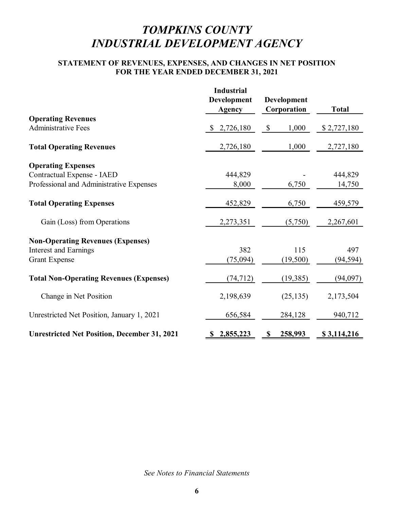## **STATEMENT OF REVENUES, EXPENSES, AND CHANGES IN NET POSITION FOR THE YEAR ENDED DECEMBER 31, 2021**

|                                                     | <b>Industrial</b><br><b>Development</b><br>Agency | Development<br>Corporation | <b>Total</b>       |
|-----------------------------------------------------|---------------------------------------------------|----------------------------|--------------------|
| <b>Operating Revenues</b>                           |                                                   |                            |                    |
| <b>Administrative Fees</b>                          | 2,726,180<br>$\mathbb{S}$                         | \$<br>1,000                | \$2,727,180        |
| <b>Total Operating Revenues</b>                     | 2,726,180                                         | 1,000                      | 2,727,180          |
| <b>Operating Expenses</b>                           |                                                   |                            |                    |
| Contractual Expense - IAED                          | 444,829                                           |                            | 444,829            |
| Professional and Administrative Expenses            | 8,000                                             | 6,750                      | 14,750             |
| <b>Total Operating Expenses</b>                     | 452,829                                           | 6,750                      | 459,579            |
| Gain (Loss) from Operations                         | 2,273,351                                         | (5,750)                    | 2,267,601          |
| <b>Non-Operating Revenues (Expenses)</b>            |                                                   |                            |                    |
| Interest and Earnings                               | 382                                               | 115                        | 497                |
| <b>Grant Expense</b>                                | (75,094)                                          | (19,500)                   | (94, 594)          |
| <b>Total Non-Operating Revenues (Expenses)</b>      | (74, 712)                                         | (19, 385)                  | (94,097)           |
| Change in Net Position                              | 2,198,639                                         | (25, 135)                  | 2,173,504          |
| Unrestricted Net Position, January 1, 2021          | 656,584                                           | 284,128                    | 940,712            |
| <b>Unrestricted Net Position, December 31, 2021</b> | 2,855,223<br><sup>3</sup>                         | <u>258,993</u><br><b>S</b> | <u>\$3,114,216</u> |

*See Notes to Financial Statements*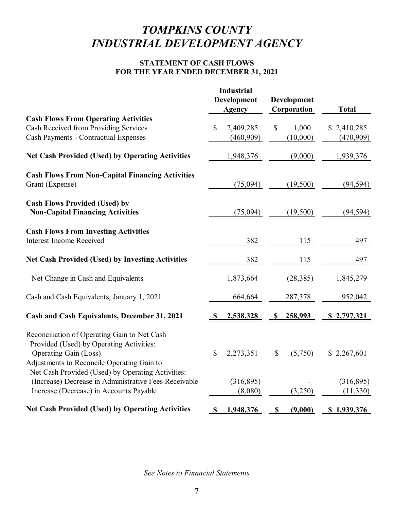## **STATEMENT OF CASH FLOWS FOR THE YEAR ENDED DECEMBER 31, 2021**

|                                                                                                                                                                                                                             |                           | <b>Industrial</b>     |                           |             |                        |  |
|-----------------------------------------------------------------------------------------------------------------------------------------------------------------------------------------------------------------------------|---------------------------|-----------------------|---------------------------|-------------|------------------------|--|
|                                                                                                                                                                                                                             | Development               |                       |                           | Development |                        |  |
|                                                                                                                                                                                                                             |                           | <b>Agency</b>         |                           | Corporation | <b>Total</b>           |  |
| <b>Cash Flows From Operating Activities</b>                                                                                                                                                                                 |                           |                       |                           |             |                        |  |
| Cash Received from Providing Services                                                                                                                                                                                       | \$                        | 2,409,285             | \$                        | 1,000       | \$2,410,285            |  |
| <b>Cash Payments - Contractual Expenses</b>                                                                                                                                                                                 |                           | (460,909)             |                           | (10,000)    | (470,909)              |  |
| <b>Net Cash Provided (Used) by Operating Activities</b>                                                                                                                                                                     |                           | 1,948,376             |                           | (9,000)     | 1,939,376              |  |
| <b>Cash Flows From Non-Capital Financing Activities</b><br>Grant (Expense)                                                                                                                                                  |                           | (75,094)              |                           | (19,500)    | (94, 594)              |  |
| <b>Cash Flows Provided (Used) by</b><br><b>Non-Capital Financing Activities</b>                                                                                                                                             |                           | (75,094)              |                           | (19,500)    | (94, 594)              |  |
| <b>Cash Flows From Investing Activities</b><br><b>Interest Income Received</b>                                                                                                                                              |                           | 382                   |                           | 115         | 497                    |  |
| <b>Net Cash Provided (Used) by Investing Activities</b>                                                                                                                                                                     |                           | 382                   |                           | 115         | 497                    |  |
| Net Change in Cash and Equivalents                                                                                                                                                                                          |                           | 1,873,664             |                           | (28, 385)   | 1,845,279              |  |
| Cash and Cash Equivalents, January 1, 2021                                                                                                                                                                                  |                           | 664,664               |                           | 287,378     | 952,042                |  |
| <b>Cash and Cash Equivalents, December 31, 2021</b>                                                                                                                                                                         | -SS                       | 2,538,328             | <sup>\$</sup>             | 258,993     | \$2,797,321            |  |
| Reconciliation of Operating Gain to Net Cash<br>Provided (Used) by Operating Activities:<br><b>Operating Gain (Loss)</b><br>Adjustments to Reconcile Operating Gain to<br>Net Cash Provided (Used) by Operating Activities: | \$                        | 2,273,351             | $\mathbb S$               | (5,750)     | \$2,267,601            |  |
| (Increase) Decrease in Administrative Fees Receivable<br>Increase (Decrease) in Accounts Payable                                                                                                                            |                           | (316, 895)<br>(8,080) |                           | (3,250)     | (316,895)<br>(11, 330) |  |
| <b>Net Cash Provided (Used) by Operating Activities</b>                                                                                                                                                                     | $\boldsymbol{\mathsf{S}}$ | 1,948,376             | $\boldsymbol{\mathsf{S}}$ | (9,000)     | \$1,939,376            |  |

*See Notes to Financial Statements*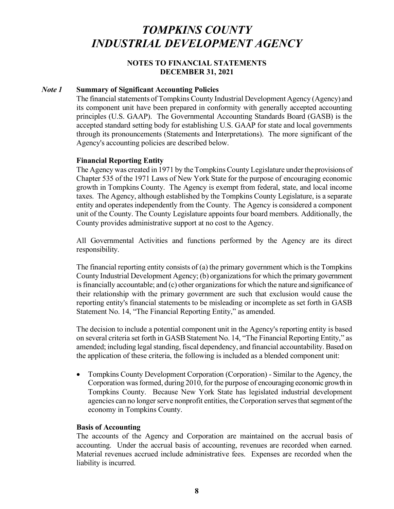### **NOTES TO FINANCIAL STATEMENTS DECEMBER 31, 2021**

#### *Note 1* **Summary of Significant Accounting Policies**

The financial statements of Tompkins County Industrial Development Agency (Agency) and its component unit have been prepared in conformity with generally accepted accounting principles (U.S. GAAP). The Governmental Accounting Standards Board (GASB) is the accepted standard setting body for establishing U.S. GAAP for state and local governments through its pronouncements (Statements and Interpretations). The more significant of the Agency's accounting policies are described below.

#### **Financial Reporting Entity**

The Agency was created in 1971 by the Tompkins County Legislature under theprovisions of Chapter 535 of the 1971 Laws of New York State for the purpose of encouraging economic growth in Tompkins County. The Agency is exempt from federal, state, and local income taxes. The Agency, although established by the Tompkins County Legislature, is a separate entity and operates independently from the County. The Agency is considered a component unit of the County. The County Legislature appoints four board members. Additionally, the County provides administrative support at no cost to the Agency.

All Governmental Activities and functions performed by the Agency are its direct responsibility.

The financial reporting entity consists of (a) the primary government which is the Tompkins County Industrial Development Agency; (b) organizations for which the primary government is financially accountable; and (c) other organizations for which the nature and significance of their relationship with the primary government are such that exclusion would cause the reporting entity's financial statements to be misleading or incomplete as set forth in GASB Statement No. 14, "The Financial Reporting Entity," as amended.

The decision to include a potential component unit in the Agency's reporting entity is based on several criteria set forth in GASB Statement No. 14, "The Financial Reporting Entity," as amended; including legal standing, fiscal dependency, and financial accountability. Based on the application of these criteria, the following is included as a blended component unit:

• Tompkins County Development Corporation (Corporation) - Similar to the Agency, the Corporation was formed, during 2010, for the purpose of encouraging economic growth in Tompkins County. Because New York State has legislated industrial development agencies can no longer serve nonprofit entities, the Corporation servesthat segment ofthe economy in Tompkins County.

#### **Basis of Accounting**

The accounts of the Agency and Corporation are maintained on the accrual basis of accounting. Under the accrual basis of accounting, revenues are recorded when earned. Material revenues accrued include administrative fees. Expenses are recorded when the liability is incurred.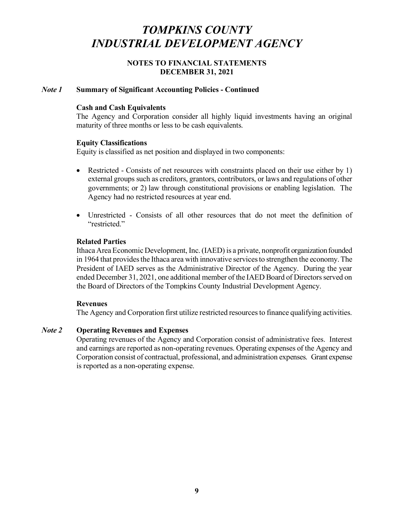### **NOTES TO FINANCIAL STATEMENTS DECEMBER 31, 2021**

#### *Note 1* **Summary of Significant Accounting Policies - Continued**

#### **Cash and Cash Equivalents**

The Agency and Corporation consider all highly liquid investments having an original maturity of three months or less to be cash equivalents.

#### **Equity Classifications**

Equity is classified as net position and displayed in two components:

- Restricted Consists of net resources with constraints placed on their use either by 1) external groups such as creditors, grantors, contributors, or laws and regulations of other governments; or 2) law through constitutional provisions or enabling legislation. The Agency had no restricted resources at year end.
- Unrestricted Consists of all other resources that do not meet the definition of "restricted."

#### **Related Parties**

Ithaca Area Economic Development, Inc. (IAED) is a private, nonprofit organization founded in 1964 that provides the Ithaca area with innovative services to strengthen the economy. The President of IAED serves as the Administrative Director of the Agency. During the year ended December 31, 2021, one additional member of the IAED Board of Directors served on the Board of Directors of the Tompkins County Industrial Development Agency.

#### **Revenues**

The Agency and Corporation first utilize restricted resources to finance qualifying activities.

### *Note 2* **Operating Revenues and Expenses**

Operating revenues of the Agency and Corporation consist of administrative fees. Interest and earnings are reported as non-operating revenues. Operating expenses of the Agency and Corporation consist of contractual, professional, and administration expenses. Grant expense is reported as a non-operating expense.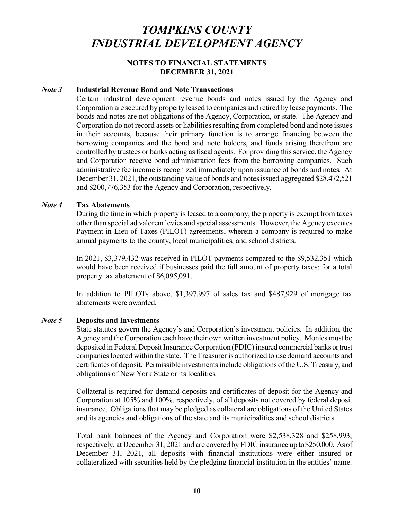#### **NOTES TO FINANCIAL STATEMENTS DECEMBER 31, 2021**

#### *Note 3* **Industrial Revenue Bond and Note Transactions**

Certain industrial development revenue bonds and notes issued by the Agency and Corporation are secured by property leased to companies and retired by lease payments. The bonds and notes are not obligations of the Agency, Corporation, or state. The Agency and Corporation do not record assets or liabilities resulting from completed bond and note issues in their accounts, because their primary function is to arrange financing between the borrowing companies and the bond and note holders, and funds arising therefrom are controlled by trustees or banks acting as fiscal agents. For providing this service, the Agency and Corporation receive bond administration fees from the borrowing companies. Such administrative fee income is recognized immediately upon issuance of bonds and notes. At December 31, 2021, the outstanding value of bonds and notes issued aggregated \$28,472,521 and \$200,776,353 for the Agency and Corporation, respectively.

#### *Note 4* **Tax Abatements**

During the time in which property is leased to a company, the property is exempt from taxes other than special ad valorem levies and special assessments. However, the Agency executes Payment in Lieu of Taxes (PILOT) agreements, wherein a company is required to make annual payments to the county, local municipalities, and school districts.

In 2021, \$3,379,432 was received in PILOT payments compared to the \$9,532,351 which would have been received if businesses paid the full amount of property taxes; for a total property tax abatement of \$6,095,091.

In addition to PILOTs above, \$1,397,997 of sales tax and \$487,929 of mortgage tax abatements were awarded.

#### *Note 5* **Deposits and Investments**

State statutes govern the Agency's and Corporation's investment policies. In addition, the Agency and the Corporation each have their own written investment policy. Monies must be deposited in Federal Deposit Insurance Corporation (FDIC) insured commercial banks or trust companies located within the state. The Treasurer is authorized to use demand accounts and certificates of deposit. Permissible investments include obligations of the U.S. Treasury, and obligations of New York State or its localities.

Collateral is required for demand deposits and certificates of deposit for the Agency and Corporation at 105% and 100%, respectively, of all deposits not covered by federal deposit insurance. Obligations that may be pledged as collateral are obligations of the United States and its agencies and obligations of the state and its municipalities and school districts.

Total bank balances of the Agency and Corporation were \$2,538,328 and \$258,993, respectively, at December 31, 2021 and are covered by FDIC insurance up to \$250,000. As of December 31, 2021, all deposits with financial institutions were either insured or collateralized with securities held by the pledging financial institution in the entities' name.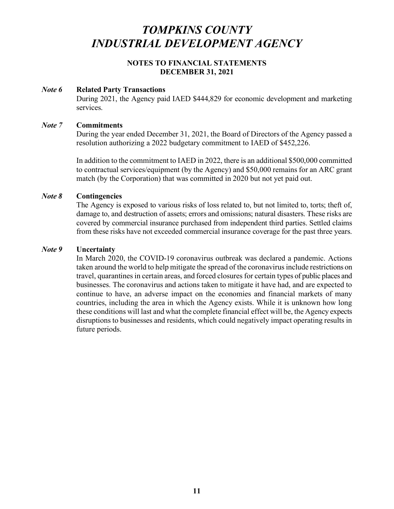### **NOTES TO FINANCIAL STATEMENTS DECEMBER 31, 2021**

#### *Note 6* **Related Party Transactions**

During 2021, the Agency paid IAED \$444,829 for economic development and marketing services.

#### *Note 7* **Commitments**

During the year ended December 31, 2021, the Board of Directors of the Agency passed a resolution authorizing a 2022 budgetary commitment to IAED of \$452,226.

In addition to the commitment to IAED in 2022, there is an additional \$500,000 committed to contractual services/equipment (by the Agency) and \$50,000 remains for an ARC grant match (by the Corporation) that was committed in 2020 but not yet paid out.

#### *Note 8* **Contingencies**

The Agency is exposed to various risks of loss related to, but not limited to, torts; theft of, damage to, and destruction of assets; errors and omissions; natural disasters. These risks are covered by commercial insurance purchased from independent third parties. Settled claims from these risks have not exceeded commercial insurance coverage for the past three years.

#### *Note 9* **Uncertainty**

In March 2020, the COVID-19 coronavirus outbreak was declared a pandemic. Actions taken around the world to help mitigate the spread of the coronavirus include restrictions on travel, quarantines in certain areas, and forced closures for certain types of public places and businesses. The coronavirus and actions taken to mitigate it have had, and are expected to continue to have, an adverse impact on the economies and financial markets of many countries, including the area in which the Agency exists. While it is unknown how long these conditions will last and what the complete financial effect will be, the Agency expects disruptions to businesses and residents, which could negatively impact operating results in future periods.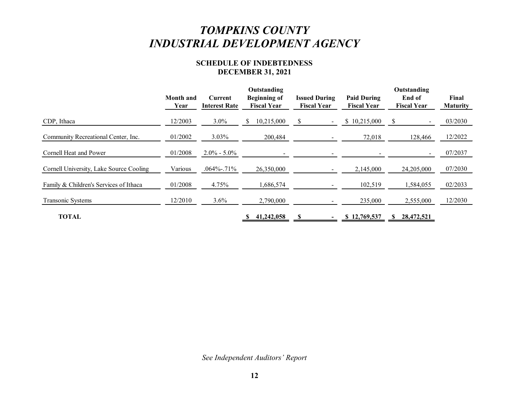### **SCHEDULE OF INDEBTEDNESS DECEMBER 31, 2021**

|                                         | <b>Month</b> and<br>Year | Current<br><b>Interest Rate</b> | Outstanding<br><b>Beginning of</b><br><b>Fiscal Year</b> | <b>Issued During</b><br><b>Fiscal Year</b> | <b>Paid During</b><br><b>Fiscal Year</b> | Outstanding<br>End of<br><b>Fiscal Year</b> | Final<br><b>Maturity</b> |
|-----------------------------------------|--------------------------|---------------------------------|----------------------------------------------------------|--------------------------------------------|------------------------------------------|---------------------------------------------|--------------------------|
| CDP, Ithaca                             | 12/2003                  | $3.0\%$                         | 10,215,000<br>S                                          | S<br>$\overline{\phantom{a}}$              | \$10,215,000                             | S.                                          | 03/2030                  |
| Community Recreational Center, Inc.     | 01/2002                  | 3.03%                           | 200,484                                                  |                                            | 72,018                                   | 128,466                                     | 12/2022                  |
| Cornell Heat and Power                  | 01/2008                  | $2.0\% - 5.0\%$                 |                                                          |                                            |                                          |                                             | 07/2037                  |
| Cornell University, Lake Source Cooling | Various                  | $.064\% - .71\%$                | 26,350,000                                               |                                            | 2,145,000                                | 24,205,000                                  | 07/2030                  |
| Family & Children's Services of Ithaca  | 01/2008                  | 4.75%                           | 1,686,574                                                |                                            | 102,519                                  | 1,584,055                                   | 02/2033                  |
| Transonic Systems                       | 12/2010                  | 3.6%                            | 2,790,000                                                |                                            | 235,000                                  | 2,555,000                                   | 12/2030                  |
| <b>TOTAL</b>                            |                          |                                 | 41,242,058                                               |                                            | \$12,769,537                             | 28,472,521<br>S.                            |                          |

*See Independent Auditors' Report*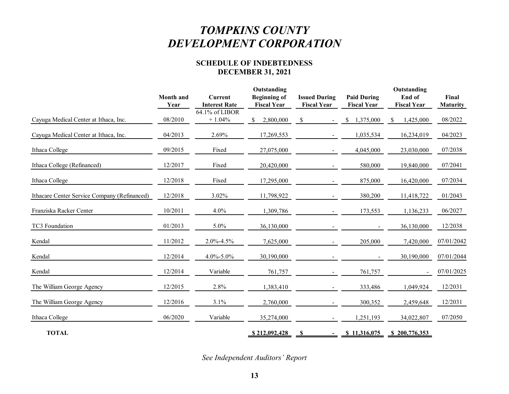## *TOMPKINS COUNTY DEVELOPMENT CORPORATION*

### **SCHEDULE OF INDEBTEDNESS DECEMBER 31, 2021**

|                                              | <b>Month</b> and<br>Year | Current<br><b>Interest Rate</b> | Outstanding<br><b>Beginning of</b><br><b>Fiscal Year</b> | <b>Issued During</b><br><b>Fiscal Year</b> | <b>Paid During</b><br><b>Fiscal Year</b> | Outstanding<br>End of<br><b>Fiscal Year</b> | Final<br><b>Maturity</b> |
|----------------------------------------------|--------------------------|---------------------------------|----------------------------------------------------------|--------------------------------------------|------------------------------------------|---------------------------------------------|--------------------------|
| Cayuga Medical Center at Ithaca, Inc.        | 08/2010                  | 64.1% of LIBOR<br>$+1.04%$      | 2,800,000<br>\$                                          | \$                                         | 1,375,000<br>\$                          | 1,425,000<br><sup>\$</sup>                  | 08/2022                  |
| Cayuga Medical Center at Ithaca, Inc.        | 04/2013                  | 2.69%                           | 17,269,553                                               |                                            | 1,035,534                                | 16,234,019                                  | 04/2023                  |
| Ithaca College                               | 09/2015                  | Fixed                           | 27,075,000                                               |                                            | 4,045,000                                | 23,030,000                                  | 07/2038                  |
| Ithaca College (Refinanced)                  | 12/2017                  | Fixed                           | 20,420,000                                               |                                            | 580,000                                  | 19,840,000                                  | 07/2041                  |
| Ithaca College                               | 12/2018                  | Fixed                           | 17,295,000                                               |                                            | 875,000                                  | 16,420,000                                  | 07/2034                  |
| Ithacare Center Service Company (Refinanced) | 12/2018                  | 3.02%                           | 11,798,922                                               |                                            | 380,200                                  | 11,418,722                                  | 01/2043                  |
| Franziska Racker Center                      | 10/2011                  | 4.0%                            | 1,309,786                                                |                                            | 173,553                                  | 1,136,233                                   | 06/2027                  |
| TC3 Foundation                               | 01/2013                  | 5.0%                            | 36,130,000                                               |                                            |                                          | 36,130,000                                  | 12/2038                  |
| Kendal                                       | 11/2012                  | $2.0\% - 4.5\%$                 | 7,625,000                                                |                                            | 205,000                                  | 7,420,000                                   | 07/01/2042               |
| Kendal                                       | 12/2014                  | $4.0\% - 5.0\%$                 | 30,190,000                                               |                                            |                                          | 30,190,000                                  | 07/01/2044               |
| Kendal                                       | 12/2014                  | Variable                        | 761,757                                                  |                                            | 761,757                                  |                                             | 07/01/2025               |
| The William George Agency                    | 12/2015                  | 2.8%                            | 1,383,410                                                |                                            | 333,486                                  | 1,049,924                                   | 12/2031                  |
| The William George Agency                    | 12/2016                  | 3.1%                            | 2,760,000                                                |                                            | 300,352                                  | 2,459,648                                   | 12/2031                  |
| Ithaca College                               | 06/2020                  | Variable                        | 35,274,000                                               |                                            | 1,251,193                                | 34,022,807                                  | 07/2050                  |
| <b>TOTAL</b>                                 |                          |                                 | \$212,092,428                                            | <u>_s</u>                                  | \$11,316,075                             | \$200,776,353                               |                          |

*See Independent Auditors' Report*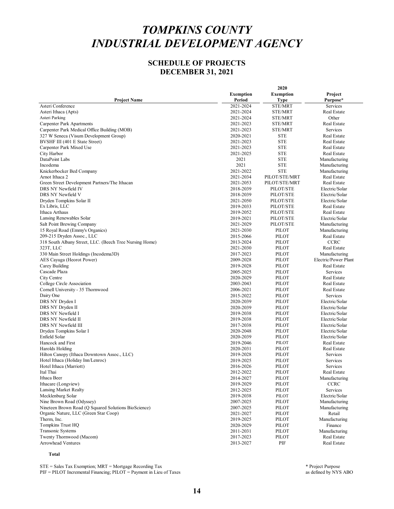## **SCHEDULE OF PROJECTS DECEMBER 31, 2021**

**2020**

|                                                         | <b>Exemption</b> | <b>Exemption</b> | Project              |
|---------------------------------------------------------|------------------|------------------|----------------------|
| <b>Project Name</b>                                     | Period           | <b>Type</b>      | Purpose*             |
| Asteri Conference                                       | 2021-2024        | STE/MRT          | Services             |
| Asteri Ithaca (Apts)                                    | 2021-2024        | STE/MRT          | Real Estate          |
| Asteri Parking                                          | 2021-2024        | <b>STE/MRT</b>   | Other                |
| Carpenter Park Apartments                               | 2021-2023        | STE/MRT          | Real Estate          |
| Carpenter Park Medical Office Building (MOB)            | 2021-2023        | <b>STE/MRT</b>   | Services             |
| 327 W Seneca (Visum Development Group)                  | 2020-2021        | <b>STE</b>       | Real Estate          |
| BVSHF III (401 E State Street)                          | 2021-2023        | <b>STE</b>       | Real Estate          |
| Carpenter Park Mixed Use                                | 2021-2023        | <b>STE</b>       | Real Estate          |
| City Harbor                                             | 2021-2025        | <b>STE</b>       | Real Estate          |
| DataPoint Labs                                          | 2021             | <b>STE</b>       |                      |
|                                                         |                  |                  | Manufacturing        |
| Incodema                                                | 2021             | <b>STE</b>       | Manufacturing        |
| Knickerbocker Bed Company                               | 2021-2022        | <b>STE</b>       | Manufacturing        |
| Arnot Ithaca 2                                          | 2021-2034        | PILOT/STE/MRT    | Real Estate          |
| Green Street Development Partners/The Ithacan           | 2021-2053        | PILOT/STE/MRT    | Real Estate          |
| DRS NY Newfield IV                                      | 2018-2039        | PILOT/STE        | Electric/Solar       |
| DRS NY Newfield V                                       | 2018-2039        | PILOT/STE        | Electric/Solar       |
| Dryden Tompkins Solar II                                | 2021-2050        | PILOT/STE        | Electric/Solar       |
| Ex Libris, LLC                                          | 2019-2033        | PILOT/STE        | Real Estate          |
| Ithaca Arthaus                                          | 2019-2052        | PILOT/STE        | Real Estate          |
| Lansing Renewables Solar                                | 2019-2021        | PILOT/STE        | Electric/Solar       |
| Salt Point Brewing Company                              | 2021-2029        | PILOT/STE        | Manufacturing        |
| 15 Royal Road (Emmy's Organics)                         | 2021-2030        | PILOT            | Manufacturing        |
| 209-215 Dryden Assoc., LLC                              | 2015-2066        | PILOT            | Real Estate          |
| 318 South Albany Street, LLC. (Beech Tree Nursing Home) | 2013-2024        | PILOT            | <b>CCRC</b>          |
| 323T, LLC                                               | 2021-2030        | PILOT            | Real Estate          |
| 330 Main Street Holdings (Incodema3D)                   | 2017-2023        | PILOT            | Manufacturing        |
|                                                         |                  |                  | Electric/Power Plant |
| AES Cayuga (Heorot Power)                               | 2009-2028        | PILOT            |                      |
| Carey Building                                          | 2019-2028        | PILOT            | Real Estate          |
| Cascade Plaza                                           | 2005-2025        | PILOT            | Services             |
| City Centre                                             | 2020-2029        | PILOT            | Real Estate          |
| College Circle Association                              | 2003-2043        | PILOT            | Real Estate          |
| Cornell University - 35 Thornwood                       | 2006-2021        | PILOT            | Real Estate          |
| Dairy One                                               | 2015-2022        | PILOT            | Services             |
| DRS NY Dryden I                                         | 2020-2039        | PILOT            | Electric/Solar       |
| DRS NY Dryden II                                        | 2020-2039        | PILOT            | Electric/Solar       |
| DRS NY Newfield I                                       | 2019-2038        | PILOT            | Electric/Solar       |
| DRS NY Newfield II                                      | 2019-2038        | PILOT            | Electric/Solar       |
| DRS NY Newfield III                                     | 2017-2038        | PILOT            | Electric/Solar       |
| Dryden Tompkins Solar I                                 | 2020-2048        | PILOT            | Electric/Solar       |
| Enfield Solar                                           | 2020-2039        | PILOT            | Electric/Solar       |
| Hancock and First                                       | 2019-2046        | PILOT            | Real Estate          |
| Harolds Holding                                         | 2020-2031        | PILOT            | Real Estate          |
| Hilton Canopy (Ithaca Downtown Assoc., LLC)             | 2019-2028        | PILOT            | Services             |
| Hotel Ithaca (Holiday Inn/Lenroc)                       | 2019-2025        | PILOT            | Services             |
| Hotel Ithaca (Marriott)                                 | 2016-2026        | PILOT            | Services             |
|                                                         |                  | PILOT            |                      |
| Ital Thai                                               | 2012-2022        |                  | Real Estate          |
| Ithaca Beer                                             | 2014-2027        | PILOT            | Manufacturing        |
| Ithacare (Longview)                                     | 2019-2029        | PILOT            | <b>CCRC</b>          |
| Lansing Market Realty                                   | 2012-2025        | PILOT            | Services             |
| Mecklenburg Solar                                       | 2019-2038        | PILOT            | Electric/Solar       |
| Nine Brown Road (Odyssey)                               | 2007-2025        | PILOT            | Manufacturing        |
| Nineteen Brown Road (Q Squared Solutions BioScience)    | 2007-2025        | PILOT            | Manufacturing        |
| Organic Nature, LLC (Green Star Coop)                   | 2021-2027        | PILOT            | Retail               |
| Therm, Inc.                                             | 2019-2025        | PILOT            | Manufacturing        |
| Tompkins Trust HQ                                       | 2020-2029        | PILOT            | Finance              |
| Transonic Systems                                       | 2011-2031        | PILOT            | Manufacturing        |
| Twenty Thornwood (Macom)                                | 2017-2023        | PILOT            | Real Estate          |
| <b>Arrowhead Ventures</b>                               | 2013-2027        | PIF              | Real Estate          |
|                                                         |                  |                  |                      |

#### **Total**

STE = Sales Tax Exemption; MRT = Mortgage Recording Tax  $\bullet$  \* Project Purpose PIF = PILOT Incremental Financing; PILOT = Payment in Lieu of Taxes as defined by NYS ABO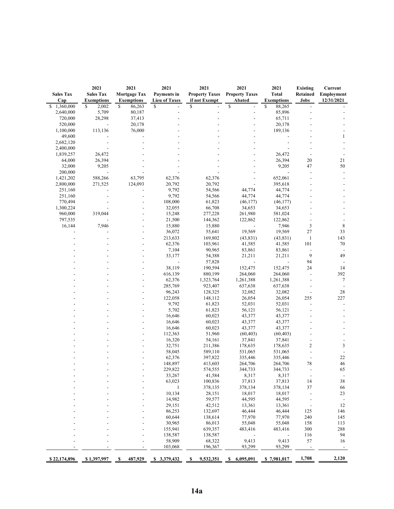|                         | 2021                                  | 2021                                     | 2021                                | 2021                                   | 2021                            | 2021                              | <b>Existing</b>          | Current                  |
|-------------------------|---------------------------------------|------------------------------------------|-------------------------------------|----------------------------------------|---------------------------------|-----------------------------------|--------------------------|--------------------------|
| <b>Sales Tax</b><br>Cap | <b>Sales Tax</b><br><b>Exemptions</b> | <b>Mortgage Tax</b><br><b>Exemptions</b> | Payments in<br><b>Lieu of Taxes</b> | <b>Property Taxes</b><br>if not Exempt | <b>Property Taxes</b><br>Abated | <b>Total</b><br><b>Exemptions</b> | Retained<br>Jobs         | Employment<br>12/31/2021 |
| $\overline{1,360,000}$  | 2,002<br>S                            | S<br>86,263                              | S                                   | \$                                     | \$<br>$\frac{1}{2}$             | \$<br>88,265                      |                          |                          |
| 2,640,000               | 5,709                                 | 80,187                                   |                                     |                                        |                                 | 85,896                            |                          |                          |
| 720,000                 | 28,298                                | 37,413                                   |                                     |                                        |                                 | 65,711                            |                          |                          |
|                         |                                       | 20,178                                   |                                     |                                        |                                 | 20,178                            |                          |                          |
| 520,000                 |                                       |                                          |                                     |                                        |                                 |                                   |                          |                          |
| 1,100,000               | 113,136                               | 76,000                                   |                                     |                                        |                                 | 189,136                           |                          |                          |
| 49,600                  |                                       |                                          |                                     |                                        |                                 |                                   |                          | 1                        |
| 2,682,120               |                                       |                                          |                                     |                                        |                                 |                                   |                          |                          |
| 2,400,000               |                                       |                                          |                                     |                                        |                                 |                                   |                          |                          |
| 1,839,257               | 26,472                                |                                          |                                     |                                        |                                 | 26,472                            |                          |                          |
| 64,000                  | 26,394                                |                                          |                                     |                                        |                                 | 26,394                            | 20                       | 21                       |
| 32,000                  | 9,205                                 |                                          |                                     |                                        |                                 | 9,205                             | 47                       | 50                       |
| 200,000                 |                                       |                                          |                                     |                                        |                                 |                                   |                          |                          |
| 1,421,202               | 588,266                               | 63,795                                   | 62,376                              | 62,376                                 |                                 | 652,061                           |                          |                          |
| 2,800,000               | 271,525                               | 124,093                                  | 20,792                              | 20,792                                 |                                 | 395,618                           |                          |                          |
| 251,160                 |                                       |                                          | 9,792                               | 54,566                                 | 44,774                          | 44,774                            |                          |                          |
| 251,160                 |                                       |                                          | 9,792                               | 54,566                                 | 44,774                          | 44,774                            |                          |                          |
| 770,494                 |                                       |                                          | 108,000                             | 61,823                                 | (46, 177)                       | (46, 177)                         |                          |                          |
| 1,300,224               |                                       |                                          | 32,055                              | 66,708                                 | 34,653                          | 34,653                            |                          |                          |
|                         |                                       |                                          |                                     |                                        |                                 |                                   |                          |                          |
| 960,000                 | 319,044                               |                                          | 15,248                              | 277,228                                | 261,980                         | 581,024                           |                          |                          |
| 797,535                 |                                       |                                          | 21,500                              | 144,362                                | 122,862                         | 122,862                           |                          |                          |
| 16,144                  | 7,946                                 |                                          | 15,880                              | 15,880                                 |                                 | 7,946                             | 3                        | 8                        |
|                         |                                       |                                          | 36,072                              | 55,641                                 | 19,569                          | 19,569                            | 27                       | 33                       |
|                         |                                       |                                          | 213,633                             | 169,802                                | (43, 831)                       | (43, 831)                         | $\mathbf{1}$             | 143                      |
|                         |                                       |                                          | 62,376                              | 103,961                                | 41,585                          | 41,585                            | 101                      | 70                       |
|                         |                                       |                                          | 7,104                               | 90,965                                 | 83,861                          | 83,861                            | Ĭ.                       |                          |
|                         |                                       |                                          | 33,177                              | 54,388                                 | 21,211                          | 21,211                            | 9                        | 49                       |
|                         |                                       |                                          |                                     | 57,828                                 |                                 |                                   | 94                       |                          |
|                         |                                       |                                          | 38,119                              | 190,594                                | 152,475                         | 152,475                           | 24                       | 14                       |
|                         |                                       |                                          | 616,139                             | 880,199                                | 264,060                         | 264,060                           |                          | 392                      |
|                         |                                       |                                          | 62,376                              | 1,323,764                              | 1,261,388                       | 1,261,388                         |                          | 7                        |
|                         |                                       |                                          | 285,769                             | 923,407                                | 637,638                         | 637,638                           |                          |                          |
|                         |                                       |                                          | 96,243                              | 128,325                                | 32,082                          | 32,082                            |                          | $28\,$                   |
|                         |                                       |                                          |                                     |                                        |                                 |                                   |                          |                          |
|                         |                                       |                                          | 122,058                             | 148,112                                | 26,054                          | 26,054                            | 255                      | 227                      |
|                         |                                       |                                          | 9,792                               | 61,823                                 | 52,031                          | 52,031                            |                          |                          |
|                         |                                       |                                          | 5,702                               | 61,823                                 | 56,121                          | 56,121                            |                          |                          |
|                         |                                       |                                          | 16,646                              | 60,023                                 | 43,377                          | 43,377                            |                          |                          |
|                         |                                       |                                          | 16,646                              | 60,023                                 | 43,377                          | 43,377                            |                          |                          |
|                         |                                       |                                          | 16,646                              | 60,023                                 | 43,377                          | 43,377                            |                          |                          |
|                         |                                       |                                          | 112,363                             | 51,960                                 | (60, 403)                       | (60, 403)                         |                          |                          |
|                         |                                       |                                          | 16,320                              | 54,161                                 | 37,841                          | 37,841                            |                          |                          |
|                         |                                       |                                          | 32,751                              | 211,386                                | 178,635                         | 178,635                           | $\overline{c}$           | 3                        |
|                         |                                       |                                          | 58,045                              | 589,110                                | 531,065                         | 531,065                           |                          |                          |
|                         |                                       |                                          | 62,376                              | 397,822                                | 335,446                         | 335,446                           |                          | 22                       |
|                         |                                       |                                          | 148,897                             | 413,603                                | 264,706                         | 264,706                           | $78\,$                   | 46                       |
|                         |                                       |                                          | 229,822                             | 574,555                                | 344,733                         | 344,733                           | L,                       | 65                       |
|                         |                                       |                                          | 33,267                              | 41,584                                 | 8,317                           | 8,317                             | $\frac{1}{2}$            |                          |
|                         |                                       |                                          | 63,023                              | 100,836                                | 37,813                          | 37,813                            | 14                       | $3\,$                    |
|                         |                                       |                                          |                                     | 378,135                                | 378,134                         | 378,134                           | 37                       | 66                       |
|                         |                                       |                                          | 1                                   |                                        |                                 |                                   |                          |                          |
|                         |                                       |                                          | 10,134                              | 28,151                                 | 18,017                          | 18,017                            | $\overline{a}$           | 23                       |
|                         |                                       |                                          | 14,982                              | 59,577                                 | 44,595                          | 44,595                            | $\overline{a}$           |                          |
|                         |                                       |                                          | 29,151                              | 42,512                                 | 13,361                          | 13,361                            | $\overline{\phantom{a}}$ | 12                       |
|                         |                                       |                                          | 86,253                              | 132,697                                | 46,444                          | 46,444                            | 125                      | 146                      |
|                         |                                       |                                          | 60,644                              | 138,614                                | 77,970                          | 77,970                            | 240                      | 145                      |
|                         |                                       |                                          | 30,965                              | 86,013                                 | 55,048                          | 55,048                            | 158                      | 113                      |
|                         |                                       |                                          | 155,941                             | 639,357                                | 483,416                         | 483,416                           | 300                      | 288                      |
|                         |                                       |                                          | 138,587                             | 138,587                                |                                 |                                   | 116                      | 94                       |
|                         |                                       |                                          | 58,909                              | 68,322                                 | 9,413                           | 9,413                             | 57                       | 16                       |
|                         |                                       |                                          | 103,068                             | 196,367                                | 93,299                          | 93,299                            |                          |                          |
|                         |                                       |                                          |                                     |                                        |                                 |                                   |                          |                          |
| \$22,174,896            | \$1,397,997                           | 487,929<br>\$.                           | \$3,379,432                         | 9,532,351<br>-8                        | \$ 6,095,091                    | \$7,981,017                       | 1,708                    | 2,120                    |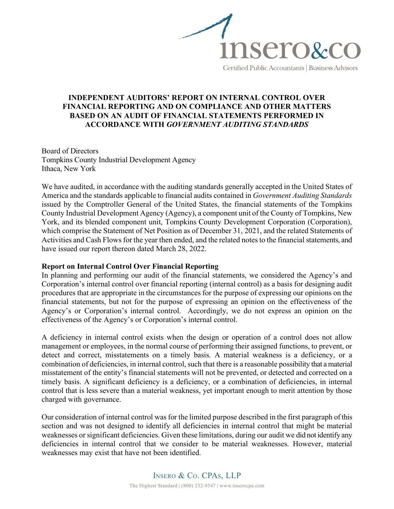

Certified Public Accountants | Business Advisors

#### **INDEPENDENT AUDITORS' REPORT ON INTERNAL CONTROL OVER FINANCIAL REPORTING AND ON COMPLIANCE AND OTHER MATTERS BASED ON AN AUDIT OF FINANCIAL STATEMENTS PERFORMED IN ACCORDANCE WITH** *GOVERNMENT AUDITING STANDARDS*

Board of Directors Tompkins County Industrial Development Agency Ithaca, New York

We have audited, in accordance with the auditing standards generally accepted in the United States of America and the standards applicable to financial audits contained in *Government Auditing Standards* issued by the Comptroller General of the United States, the financial statements of the Tompkins County Industrial Development Agency (Agency), a component unit of the County of Tompkins, New York, and its blended component unit, Tompkins County Development Corporation (Corporation), which comprise the Statement of Net Position as of December 31, 2021, and the related Statements of Activities and Cash Flows for the year then ended, and the related notes to the financial statements, and have issued our report thereon dated March 28, 2022.

#### **Report on Internal Control Over Financial Reporting**

In planning and performing our audit of the financial statements, we considered the Agency's and Corporation's internal control over financial reporting (internal control) as a basis for designing audit procedures that are appropriate in the circumstances for the purpose of expressing our opinions on the financial statements, but not for the purpose of expressing an opinion on the effectiveness of the Agency's or Corporation's internal control. Accordingly, we do not express an opinion on the effectiveness of the Agency's or Corporation's internal control.

A deficiency in internal control exists when the design or operation of a control does not allow management or employees, in the normal course of performing their assigned functions, to prevent, or detect and correct, misstatements on a timely basis. A material weakness is a deficiency, or a combination of deficiencies, in internal control, such that there is a reasonable possibility that a material misstatement of the entity's financial statements will not be prevented, or detected and corrected on a timely basis. A significant deficiency is a deficiency, or a combination of deficiencies, in internal control that is less severe than a material weakness, yet important enough to merit attention by those charged with governance.

Our consideration of internal control was for the limited purpose described in the first paragraph of this section and was not designed to identify all deficiencies in internal control that might be material weaknesses or significant deficiencies. Given these limitations, during our audit we did not identify any deficiencies in internal control that we consider to be material weaknesses. However, material weaknesses may exist that have not been identified.